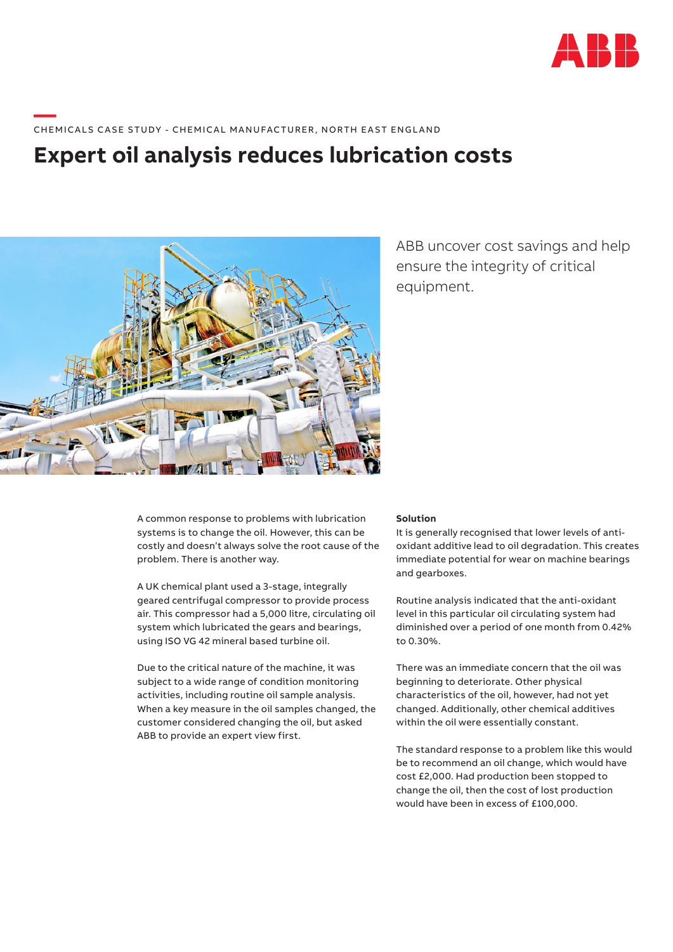

# **—**  CHEMICALS CASE STUDY - CHEMICAL MANUFACTURER, NORTH EAST ENGLAND

## **Expert oil analysis reduces lubrication costs**



ABB uncover cost savings and help ensure the integrity of critical equipment.

A common response to problems with lubrication systems is to change the oil. However, this can be costly and doesn't always solve the root cause of the problem. There is another way.

A UK chemical plant used a 3-stage, integrally geared centrifugal compressor to provide process air. This compressor had a 5,000 litre, circulating oil system which lubricated the gears and bearings, using ISO VG 42 mineral based turbine oil.

Due to the critical nature of the machine, it was subject to a wide range of condition monitoring activities, including routine oil sample analysis. When a key measure in the oil samples changed, the customer considered changing the oil, but asked ABB to provide an expert view first.

#### **Solution**

It is generally recognised that lower levels of antioxidant additive lead to oil degradation. This creates immediate potential for wear on machine bearings and gearboxes.

Routine analysis indicated that the anti-oxidant level in this particular oil circulating system had diminished over a period of one month from 0.42% to 0.30%.

There was an immediate concern that the oil was beginning to deteriorate. Other physical characteristics of the oil, however, had not yet changed. Additionally, other chemical additives within the oil were essentially constant.

The standard response to a problem like this would be to recommend an oil change, which would have cost £2,000. Had production been stopped to change the oil, then the cost of lost production would have been in excess of £100,000.